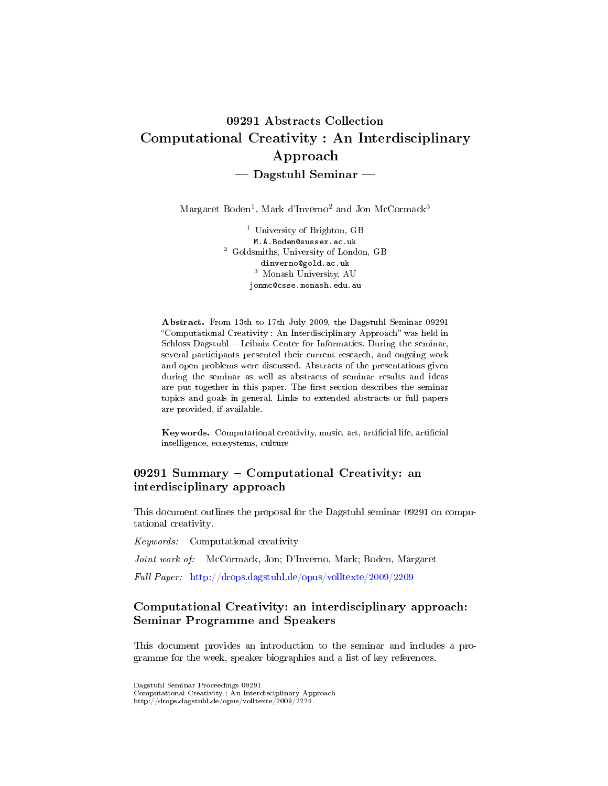# 09291 Abstracts Collection Computational Creativity : An Interdisciplinary Approach  $-$  Dagstuhl Seminar  $-$

 $\rm{Margaret\ Boden^1,\ Mark\ d'Inverno^2\ and\ Jon\ McCormack^3}$ 

<sup>1</sup> University of Brighton, GB M.A.Boden@sussex.ac.uk <sup>2</sup> Goldsmiths, University of London, GB dinverno@gold.ac.uk <sup>3</sup> Monash University, AU jonmc@csse.monash.edu.au

Abstract. From 13th to 17th July 2009, the Dagstuhl Seminar 09291 "Computational Creativity : An Interdisciplinary Approach" was held in Schloss Dagstuhl - Leibniz Center for Informatics. During the seminar, several participants presented their current research, and ongoing work and open problems were discussed. Abstracts of the presentations given during the seminar as well as abstracts of seminar results and ideas are put together in this paper. The first section describes the seminar topics and goals in general. Links to extended abstracts or full papers are provided, if available.

Keywords. Computational creativity, music, art, articial life, articial intelligence, ecosystems, culture

### 09291 Summary Computational Creativity: an interdisciplinary approach

This document outlines the proposal for the Dagstuhl seminar 09291 on computational creativity.

Keywords: Computational creativity

Joint work of: McCormack, Jon; D'Inverno, Mark; Boden, Margaret

Full Paper: <http://drops.dagstuhl.de/opus/volltexte/2009/2209>

# Computational Creativity: an interdisciplinary approach: Seminar Programme and Speakers

This document provides an introduction to the seminar and includes a programme for the week, speaker biographies and a list of key references.

Computational Creativity : An Interdisciplinary Approach http://drops.dagstuhl.de/opus/volltexte/2009/2224

Dagstuhl Seminar Proceedings 09291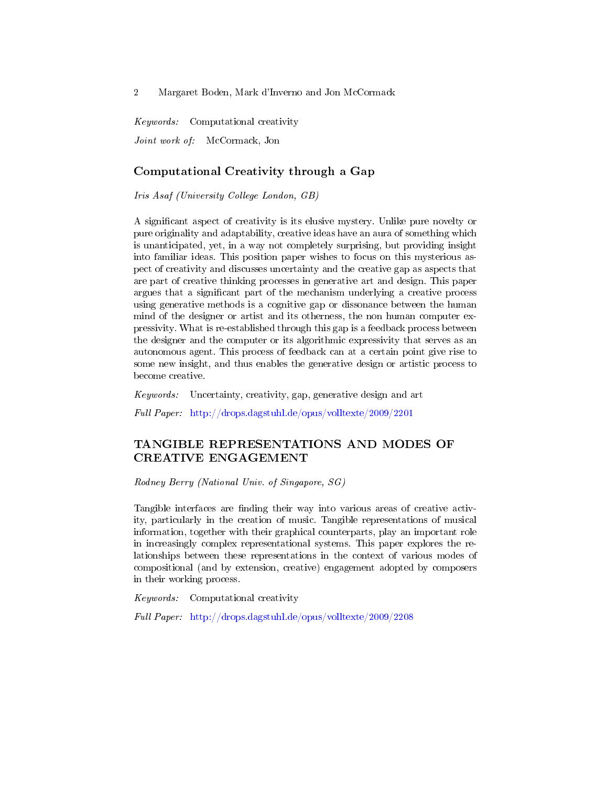Keywords: Computational creativity Joint work of: McCormack, Jon

### Computational Creativity through a Gap

Iris Asaf (University College London, GB)

A signicant aspect of creativity is its elusive mystery. Unlike pure novelty or pure originality and adaptability, creative ideas have an aura of something which is unanticipated, yet, in a way not completely surprising, but providing insight into familiar ideas. This position paper wishes to focus on this mysterious aspect of creativity and discusses uncertainty and the creative gap as aspects that are part of creative thinking processes in generative art and design. This paper argues that a signicant part of the mechanism underlying a creative process using generative methods is a cognitive gap or dissonance between the human mind of the designer or artist and its otherness, the non human computer expressivity. What is re-established through this gap is a feedback process between the designer and the computer or its algorithmic expressivity that serves as an autonomous agent. This process of feedback can at a certain point give rise to some new insight, and thus enables the generative design or artistic process to become creative.

Keywords: Uncertainty, creativity, gap, generative design and art

Full Paper: <http://drops.dagstuhl.de/opus/volltexte/2009/2201>

# TANGIBLE REPRESENTATIONS AND MODES OF CREATIVE ENGAGEMENT

Rodney Berry (National Univ. of Singapore, SG)

Tangible interfaces are finding their way into various areas of creative activity, particularly in the creation of music. Tangible representations of musical information, together with their graphical counterparts, play an important role in increasingly complex representational systems. This paper explores the relationships between these representations in the context of various modes of compositional (and by extension, creative) engagement adopted by composers in their working process.

Keywords: Computational creativity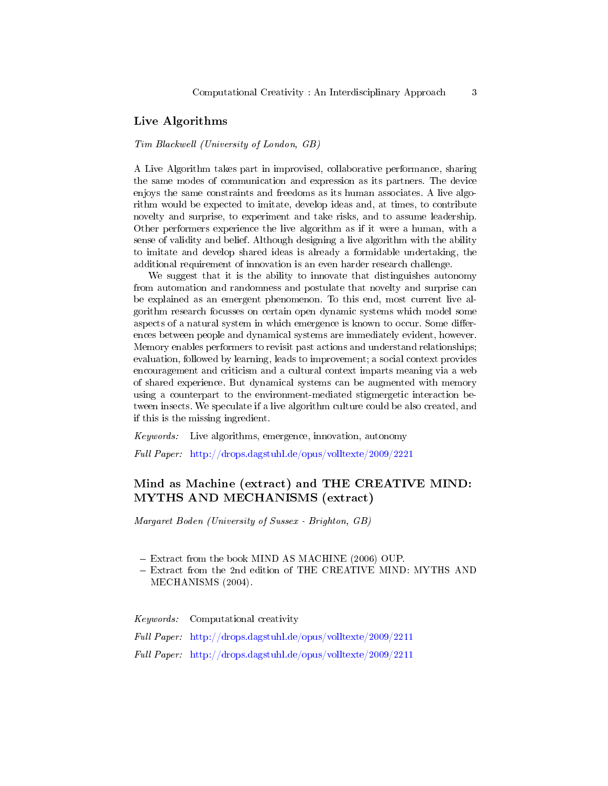#### Live Algorithms

Tim Blackwell (University of London, GB)

A Live Algorithm takes part in improvised, collaborative performance, sharing the same modes of communication and expression as its partners. The device enjoys the same constraints and freedoms as its human associates. A live algorithm would be expected to imitate, develop ideas and, at times, to contribute novelty and surprise, to experiment and take risks, and to assume leadership. Other performers experience the live algorithm as if it were a human, with a sense of validity and belief. Although designing a live algorithm with the ability to imitate and develop shared ideas is already a formidable undertaking, the additional requirement of innovation is an even harder research challenge.

We suggest that it is the ability to innovate that distinguishes autonomy from automation and randomness and postulate that novelty and surprise can be explained as an emergent phenomenon. To this end, most current live algorithm research focusses on certain open dynamic systems which model some aspects of a natural system in which emergence is known to occur. Some differences between people and dynamical systems are immediately evident, however. Memory enables performers to revisit past actions and understand relationships; evaluation, followed by learning, leads to improvement; a social context provides encouragement and criticism and a cultural context imparts meaning via a web of shared experience. But dynamical systems can be augmented with memory using a counterpart to the environment-mediated stigmergetic interaction between insects. We speculate if a live algorithm culture could be also created, and if this is the missing ingredient.

Keywords: Live algorithms, emergence, innovation, autonomy

Full Paper: <http://drops.dagstuhl.de/opus/volltexte/2009/2221>

# Mind as Machine (extract) and THE CREATIVE MIND: MYTHS AND MECHANISMS (extract)

Margaret Boden (University of Sussex - Brighton, GB)

- Extract from the book MIND AS MACHINE (2006) OUP.

 Extract from the 2nd edition of THE CREATIVE MIND: MYTHS AND MECHANISMS (2004).

Keywords: Computational creativity Full Paper: <http://drops.dagstuhl.de/opus/volltexte/2009/2211> Full Paper: <http://drops.dagstuhl.de/opus/volltexte/2009/2211>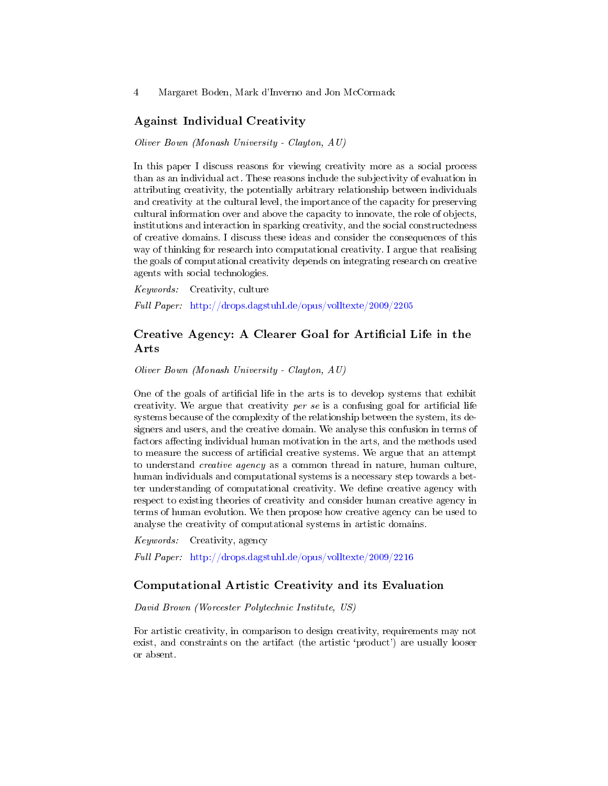#### Against Individual Creativity

Oliver Bown (Monash University - Clayton, AU)

In this paper I discuss reasons for viewing creativity more as a social process than as an individual act. These reasons include the subjectivity of evaluation in attributing creativity, the potentially arbitrary relationship between individuals and creativity at the cultural level, the importance of the capacity for preserving cultural information over and above the capacity to innovate, the role of objects, institutions and interaction in sparking creativity, and the social constructedness of creative domains. I discuss these ideas and consider the consequences of this way of thinking for research into computational creativity. I argue that realising the goals of computational creativity depends on integrating research on creative agents with social technologies.

Keywords: Creativity, culture Full Paper: <http://drops.dagstuhl.de/opus/volltexte/2009/2205>

### Creative Agency: A Clearer Goal for Artificial Life in the Arts

Oliver Bown (Monash University - Clayton, AU)

One of the goals of artificial life in the arts is to develop systems that exhibit creativity. We argue that creativity *per se* is a confusing goal for artificial life systems because of the complexity of the relationship between the system, its designers and users, and the creative domain. We analyse this confusion in terms of factors affecting individual human motivation in the arts, and the methods used to measure the success of artificial creative systems. We argue that an attempt to understand creative agency as a common thread in nature, human culture, human individuals and computational systems is a necessary step towards a better understanding of computational creativity. We dene creative agency with respect to existing theories of creativity and consider human creative agency in terms of human evolution. We then propose how creative agency can be used to analyse the creativity of computational systems in artistic domains.

Keywords: Creativity, agency

Full Paper: <http://drops.dagstuhl.de/opus/volltexte/2009/2216>

#### Computational Artistic Creativity and its Evaluation

David Brown (Worcester Polytechnic Institute, US)

For artistic creativity, in comparison to design creativity, requirements may not exist, and constraints on the artifact (the artistic 'product') are usually looser or absent.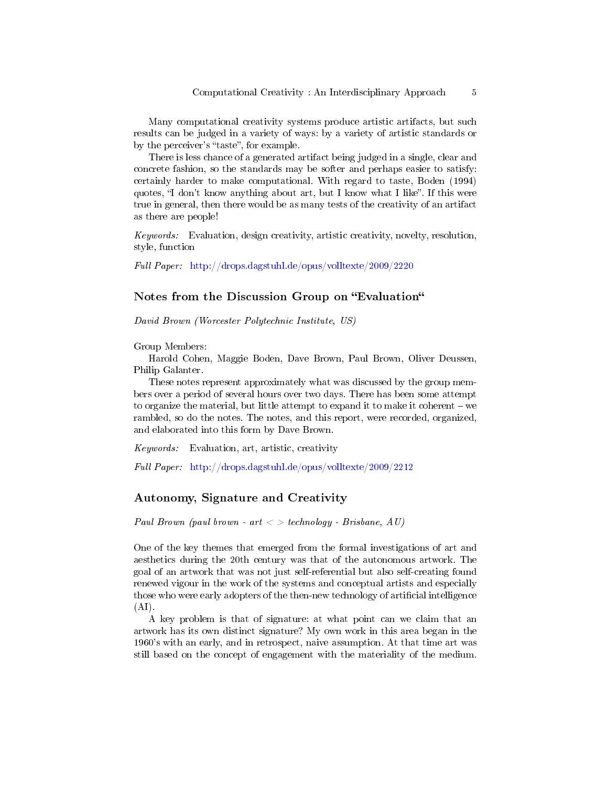Many computational creativity systems produce artistic artifacts, but such results can be judged in a variety of ways: by a variety of artistic standards or by the perceiver's "taste", for example.

There is less chance of a generated artifact being judged in a single, clear and concrete fashion, so the standards may be softer and perhaps easier to satisfy: certainly harder to make computational. With regard to taste, Boden (1994) quotes, "I don't know anything about art, but I know what I like". If this were true in general, then there would be as many tests of the creativity of an artifact as there are people!

Keywords: Evaluation, design creativity, artistic creativity, novelty, resolution, style, function

Full Paper: <http://drops.dagstuhl.de/opus/volltexte/2009/2220>

### Notes from the Discussion Group on "Evaluation"

David Brown (Worcester Polytechnic Institute, US)

Group Members:

Harold Cohen, Maggie Boden, Dave Brown, Paul Brown, Oliver Deussen, Philip Galanter.

These notes represent approximately what was discussed by the group members over a period of several hours over two days. There has been some attempt to organize the material, but little attempt to expand it to make it coherent we rambled, so do the notes. The notes, and this report, were recorded, organized, and elaborated into this form by Dave Brown.

Keywords: Evaluation, art, artistic, creativity

Full Paper: <http://drops.dagstuhl.de/opus/volltexte/2009/2212>

#### Autonomy, Signature and Creativity

Paul Brown (paul brown - art  $\langle \rangle$  > technology - Brisbane, AU)

One of the key themes that emerged from the formal investigations of art and aesthetics during the 20th century was that of the autonomous artwork. The goal of an artwork that was not just self-referential but also self-creating found renewed vigour in the work of the systems and conceptual artists and especially those who were early adopters of the then-new technology of artificial intelligence  $(AI)$ .

A key problem is that of signature: at what point can we claim that an artwork has its own distinct signature? My own work in this area began in the 1960's with an early, and in retrospect, naive assumption. At that time art was still based on the concept of engagement with the materiality of the medium.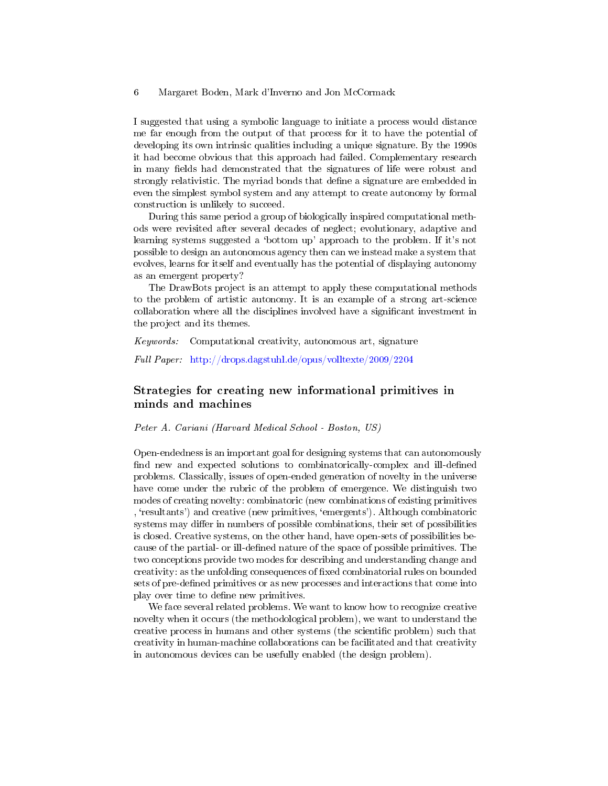I suggested that using a symbolic language to initiate a process would distance me far enough from the output of that process for it to have the potential of developing its own intrinsic qualities including a unique signature. By the 1990s it had become obvious that this approach had failed. Complementary research in many fields had demonstrated that the signatures of life were robust and strongly relativistic. The myriad bonds that define a signature are embedded in even the simplest symbol system and any attempt to create autonomy by formal construction is unlikely to succeed.

During this same period a group of biologically inspired computational methods were revisited after several decades of neglect; evolutionary, adaptive and learning systems suggested a 'bottom up' approach to the problem. If it's not possible to design an autonomous agency then can we instead make a system that evolves, learns for itself and eventually has the potential of displaying autonomy as an emergent property?

The DrawBots project is an attempt to apply these computational methods to the problem of artistic autonomy. It is an example of a strong art-science collaboration where all the disciplines involved have a signicant investment in the project and its themes.

Keywords: Computational creativity, autonomous art, signature

Full Paper: <http://drops.dagstuhl.de/opus/volltexte/2009/2204>

## Strategies for creating new informational primitives in minds and machines

#### Peter A. Cariani (Harvard Medical School - Boston, US)

Open-endedness is an important goal for designing systems that can autonomously find new and expected solutions to combinatorically-complex and ill-defined problems. Classically, issues of open-ended generation of novelty in the universe have come under the rubric of the problem of emergence. We distinguish two modes of creating novelty: combinatoric (new combinations of existing primitives , `resultants') and creative (new primitives, `emergents'). Although combinatoric systems may differ in numbers of possible combinations, their set of possibilities is closed. Creative systems, on the other hand, have open-sets of possibilities because of the partial- or ill-defined nature of the space of possible primitives. The two conceptions provide two modes for describing and understanding change and creativity: as the unfolding consequences of fixed combinatorial rules on bounded sets of pre-defined primitives or as new processes and interactions that come into play over time to define new primitives.

We face several related problems. We want to know how to recognize creative novelty when it occurs (the methodological problem), we want to understand the creative process in humans and other systems (the scientic problem) such that creativity in human-machine collaborations can be facilitated and that creativity in autonomous devices can be usefully enabled (the design problem).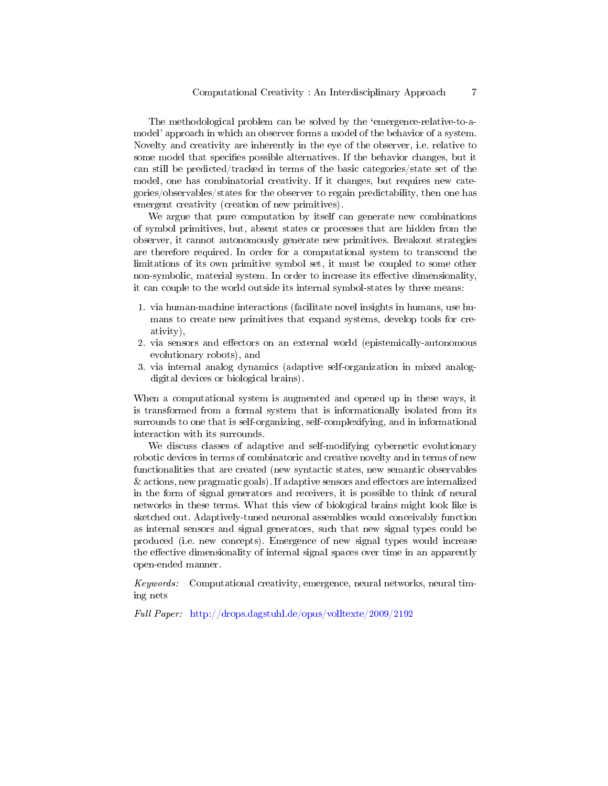The methodological problem can be solved by the `emergence-relative-to-amodel' approach in which an observer forms a model of the behavior of a system. Novelty and creativity are inherently in the eye of the observer, i.e. relative to some model that specifies possible alternatives. If the behavior changes, but it can still be predicted/tracked in terms of the basic categories/state set of the model, one has combinatorial creativity. If it changes, but requires new categories/observables/states for the observer to regain predictability, then one has emergent creativity (creation of new primitives).

We argue that pure computation by itself can generate new combinations of symbol primitives, but, absent states or processes that are hidden from the observer, it cannot autonomously generate new primitives. Breakout strategies are therefore required. In order for a computational system to transcend the limitations of its own primitive symbol set, it must be coupled to some other non-symbolic, material system. In order to increase its effective dimensionality, it can couple to the world outside its internal symbol-states by three means:

- 1. via human-machine interactions (facilitate novel insights in humans, use humans to create new primitives that expand systems, develop tools for creativity),
- 2. via sensors and effectors on an external world (epistemically-autonomous evolutionary robots), and
- 3. via internal analog dynamics (adaptive self-organization in mixed analogdigital devices or biological brains).

When a computational system is augmented and opened up in these ways, it is transformed from a formal system that is informationally isolated from its surrounds to one that is self-organizing, self-complexifying, and in informational interaction with its surrounds.

We discuss classes of adaptive and self-modifying cybernetic evolutionary robotic devices in terms of combinatoric and creative novelty and in terms of new functionalities that are created (new syntactic states, new semantic observables  $&$  actions, new pragmatic goals). If adaptive sensors and effectors are internalized in the form of signal generators and receivers, it is possible to think of neural networks in these terms. What this view of biological brains might look like is sketched out. Adaptively-tuned neuronal assemblies would conceivably function as internal sensors and signal generators, such that new signal types could be produced (i.e. new concepts). Emergence of new signal types would increase the effective dimensionality of internal signal spaces over time in an apparently open-ended manner.

Keywords: Computational creativity, emergence, neural networks, neural timing nets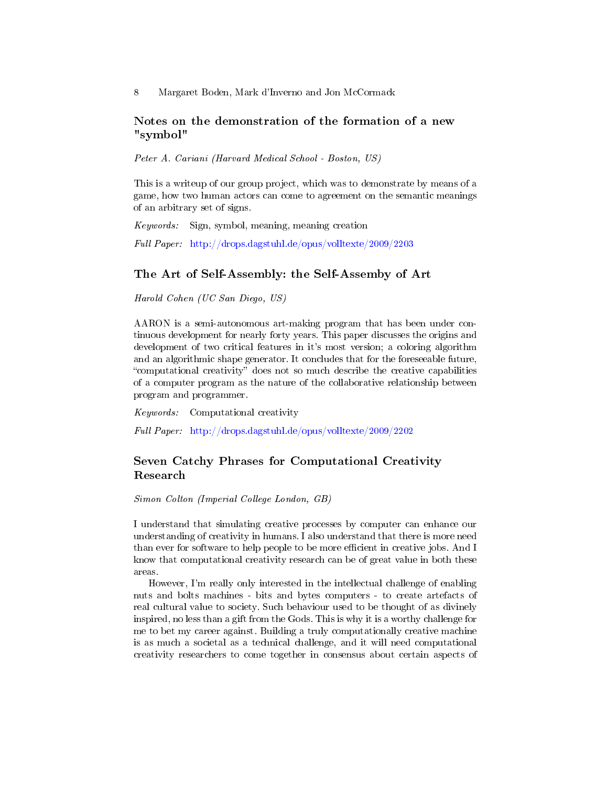### Notes on the demonstration of the formation of a new "symbol"

Peter A. Cariani (Harvard Medical School - Boston, US)

This is a writeup of our group project, which was to demonstrate by means of a game, how two human actors can come to agreement on the semantic meanings of an arbitrary set of signs.

Keywords: Sign, symbol, meaning, meaning creation

Full Paper: <http://drops.dagstuhl.de/opus/volltexte/2009/2203>

#### The Art of Self-Assembly: the Self-Assemby of Art

Harold Cohen (UC San Diego, US)

AARON is a semi-autonomous art-making program that has been under continuous development for nearly forty years. This paper discusses the origins and development of two critical features in it's most version; a coloring algorithm and an algorithmic shape generator. It concludes that for the foreseeable future, "computational creativity" does not so much describe the creative capabilities of a computer program as the nature of the collaborative relationship between program and programmer.

Keywords: Computational creativity

Full Paper: <http://drops.dagstuhl.de/opus/volltexte/2009/2202>

### Seven Catchy Phrases for Computational Creativity Research

Simon Colton (Imperial College London, GB)

I understand that simulating creative processes by computer can enhance our understanding of creativity in humans. I also understand that there is more need than ever for software to help people to be more efficient in creative jobs. And I know that computational creativity research can be of great value in both these areas.

However, I'm really only interested in the intellectual challenge of enabling nuts and bolts machines - bits and bytes computers - to create artefacts of real cultural value to society. Such behaviour used to be thought of as divinely inspired, no less than a gift from the Gods. This is why it is a worthy challenge for me to bet my career against. Building a truly computationally creative machine is as much a societal as a technical challenge, and it will need computational creativity researchers to come together in consensus about certain aspects of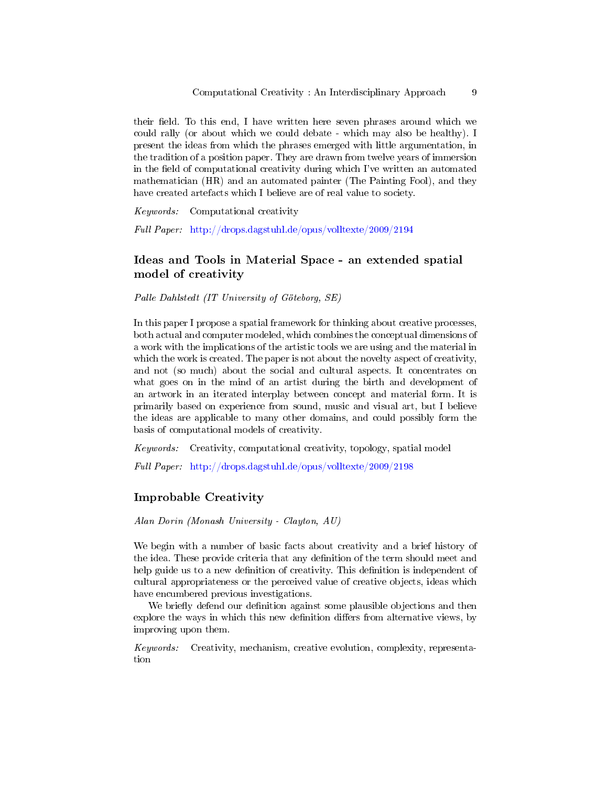their field. To this end, I have written here seven phrases around which we could rally (or about which we could debate - which may also be healthy). I present the ideas from which the phrases emerged with little argumentation, in the tradition of a position paper. They are drawn from twelve years of immersion in the field of computational creativity during which I've written an automated mathematician (HR) and an automated painter (The Painting Fool), and they have created artefacts which I believe are of real value to society.

Keywords: Computational creativity

Full Paper: <http://drops.dagstuhl.de/opus/volltexte/2009/2194>

### Ideas and Tools in Material Space - an extended spatial model of creativity

Palle Dahlstedt (IT University of Göteborg, SE)

In this paper I propose a spatial framework for thinking about creative processes, both actual and computer modeled, which combines the conceptual dimensions of a work with the implications of the artistic tools we are using and the material in which the work is created. The paper is not about the novelty aspect of creativity, and not (so much) about the social and cultural aspects. It concentrates on what goes on in the mind of an artist during the birth and development of an artwork in an iterated interplay between concept and material form. It is primarily based on experience from sound, music and visual art, but I believe the ideas are applicable to many other domains, and could possibly form the basis of computational models of creativity.

Keywords: Creativity, computational creativity, topology, spatial model

Full Paper: <http://drops.dagstuhl.de/opus/volltexte/2009/2198>

#### Improbable Creativity

Alan Dorin (Monash University - Clayton, AU)

We begin with a number of basic facts about creativity and a brief history of the idea. These provide criteria that any definition of the term should meet and help guide us to a new definition of creativity. This definition is independent of cultural appropriateness or the perceived value of creative objects, ideas which have encumbered previous investigations.

We briefly defend our definition against some plausible objections and then explore the ways in which this new definition differs from alternative views, by improving upon them.

Keywords: Creativity, mechanism, creative evolution, complexity, representation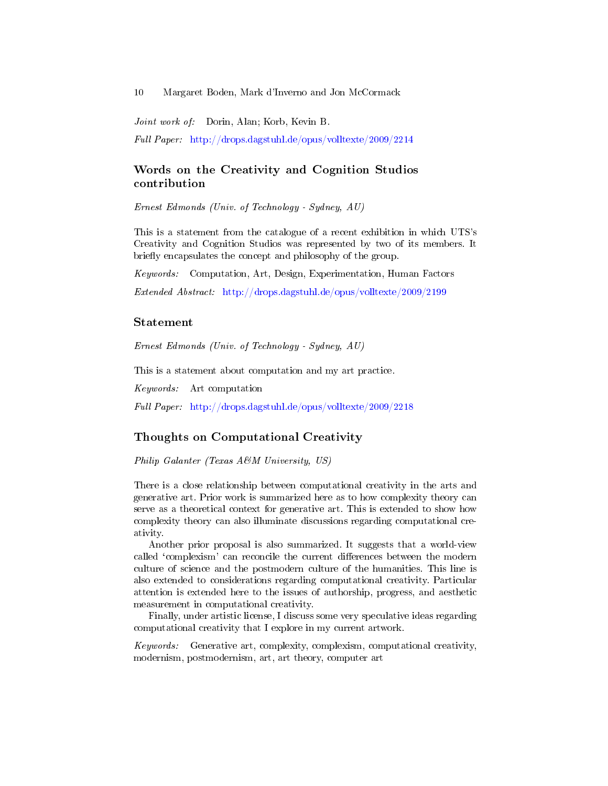Joint work of: Dorin, Alan; Korb, Kevin B.

Full Paper: <http://drops.dagstuhl.de/opus/volltexte/2009/2214>

### Words on the Creativity and Cognition Studios contribution

Ernest Edmonds (Univ. of Technology - Sydney, AU)

This is a statement from the catalogue of a recent exhibition in which UTS's Creativity and Cognition Studios was represented by two of its members. It briefly encapsulates the concept and philosophy of the group.

Keywords: Computation, Art, Design, Experimentation, Human Factors

Extended Abstract: <http://drops.dagstuhl.de/opus/volltexte/2009/2199>

#### Statement

Ernest Edmonds (Univ. of Technology - Sydney, AU)

This is a statement about computation and my art practice.

Keywords: Art computation

Full Paper: <http://drops.dagstuhl.de/opus/volltexte/2009/2218>

#### Thoughts on Computational Creativity

Philip Galanter (Texas A&M University, US)

There is a close relationship between computational creativity in the arts and generative art. Prior work is summarized here as to how complexity theory can serve as a theoretical context for generative art. This is extended to show how complexity theory can also illuminate discussions regarding computational creativity.

Another prior proposal is also summarized. It suggests that a world-view called 'complexism' can reconcile the current differences between the modern culture of science and the postmodern culture of the humanities. This line is also extended to considerations regarding computational creativity. Particular attention is extended here to the issues of authorship, progress, and aesthetic measurement in computational creativity.

Finally, under artistic license, I discuss some very speculative ideas regarding computational creativity that I explore in my current artwork.

Keywords: Generative art, complexity, complexism, computational creativity, modernism, postmodernism, art, art theory, computer art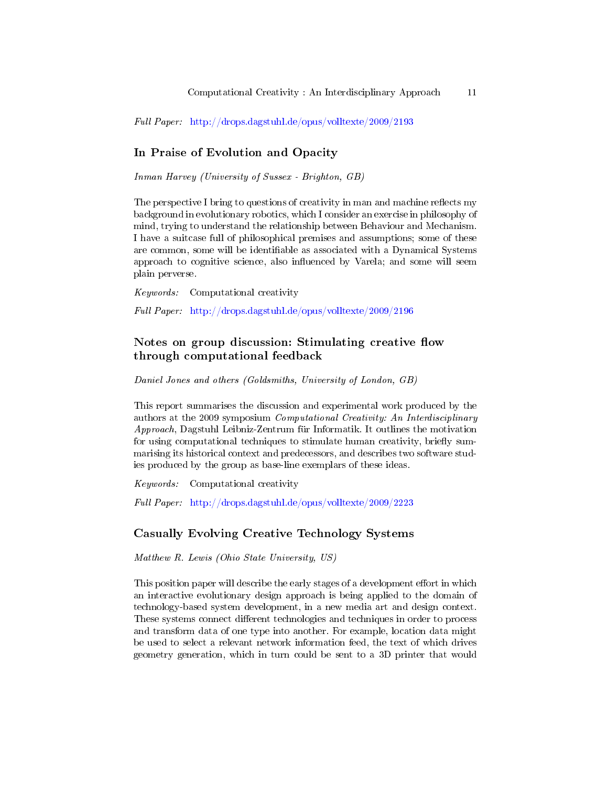Full Paper: <http://drops.dagstuhl.de/opus/volltexte/2009/2193>

### In Praise of Evolution and Opacity

Inman Harvey (University of Sussex - Brighton, GB)

The perspective I bring to questions of creativity in man and machine reflects my background in evolutionary robotics, which I consider an exercise in philosophy of mind, trying to understand the relationship between Behaviour and Mechanism. I have a suitcase full of philosophical premises and assumptions; some of these are common, some will be identifiable as associated with a Dynamical Systems approach to cognitive science, also influenced by Varela; and some will seem plain perverse.

Keywords: Computational creativity Full Paper: <http://drops.dagstuhl.de/opus/volltexte/2009/2196>

### Notes on group discussion: Stimulating creative flow through computational feedback

Daniel Jones and others (Goldsmiths, University of London, GB)

This report summarises the discussion and experimental work produced by the authors at the 2009 symposium Computational Creativity: An Interdisciplinary Approach, Dagstuhl Leibniz-Zentrum für Informatik. It outlines the motivation for using computational techniques to stimulate human creativity, briefly summarising its historical context and predecessors, and describes two software studies produced by the group as base-line exemplars of these ideas.

Keywords: Computational creativity

Full Paper: <http://drops.dagstuhl.de/opus/volltexte/2009/2223>

#### Casually Evolving Creative Technology Systems

Matthew R. Lewis (Ohio State University, US)

This position paper will describe the early stages of a development effort in which an interactive evolutionary design approach is being applied to the domain of technology-based system development, in a new media art and design context. These systems connect different technologies and techniques in order to process and transform data of one type into another. For example, location data might be used to select a relevant network information feed, the text of which drives geometry generation, which in turn could be sent to a 3D printer that would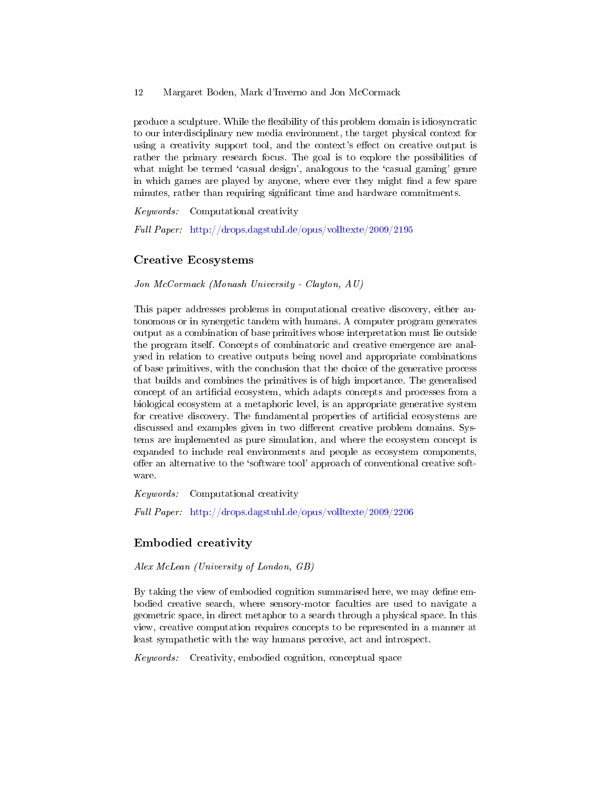produce a sculpture. While the flexibility of this problem domain is idiosyncratic to our interdisciplinary new media environment, the target physical context for using a creativity support tool, and the context's effect on creative output is rather the primary research focus. The goal is to explore the possibilities of what might be termed 'casual design', analogous to the 'casual gaming' genre in which games are played by anyone, where ever they might find a few spare minutes, rather than requiring significant time and hardware commitments.

Keywords: Computational creativity

Full Paper: <http://drops.dagstuhl.de/opus/volltexte/2009/2195>

#### Creative Ecosystems

Jon McCormack (Monash University - Clayton, AU)

This paper addresses problems in computational creative discovery, either autonomous or in synergetic tandem with humans. A computer program generates output as a combination of base primitives whose interpretation must lie outside the program itself. Concepts of combinatoric and creative emergence are analysed in relation to creative outputs being novel and appropriate combinations of base primitives, with the conclusion that the choice of the generative process that builds and combines the primitives is of high importance. The generalised concept of an artificial ecosystem, which adapts concepts and processes from a biological ecosystem at a metaphoric level, is an appropriate generative system for creative discovery. The fundamental properties of articial ecosystems are discussed and examples given in two different creative problem domains. Systems are implemented as pure simulation, and where the ecosystem concept is expanded to include real environments and people as ecosystem components, offer an alternative to the 'software tool' approach of conventional creative software.

Keywords: Computational creativity

Full Paper: <http://drops.dagstuhl.de/opus/volltexte/2009/2206>

#### Embodied creativity

Alex McLean (University of London, GB)

By taking the view of embodied cognition summarised here, we may define embodied creative search, where sensory-motor faculties are used to navigate a geometric space, in direct metaphor to a search through a physical space. In this view, creative computation requires concepts to be represented in a manner at least sympathetic with the way humans perceive, act and introspect.

Keywords: Creativity, embodied cognition, conceptual space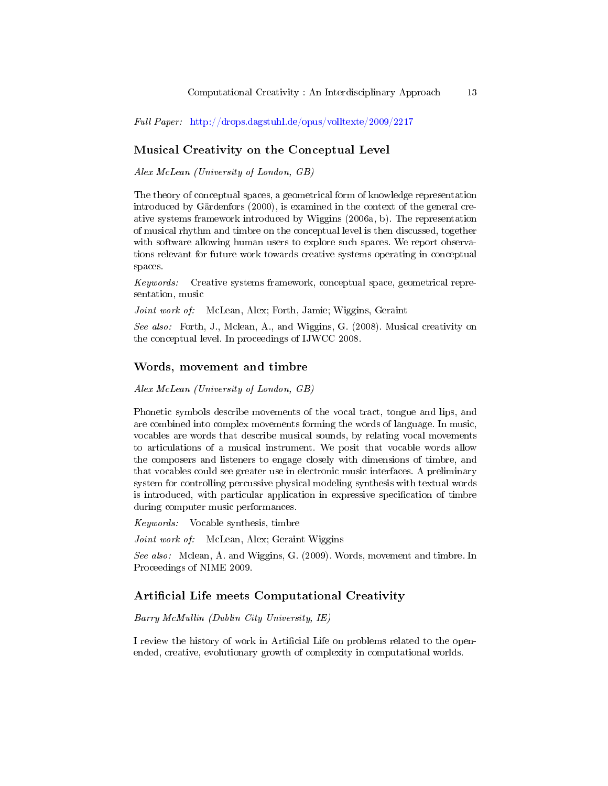Full Paper: <http://drops.dagstuhl.de/opus/volltexte/2009/2217>

# Musical Creativity on the Conceptual Level

Alex McLean (University of London, GB)

The theory of conceptual spaces, a geometrical form of knowledge representation introduced by Gärdenfors (2000), is examined in the context of the general creative systems framework introduced by Wiggins (2006a, b). The representation of musical rhythm and timbre on the conceptual level is then discussed, together with software allowing human users to explore such spaces. We report observations relevant for future work towards creative systems operating in conceptual spaces.

Keywords: Creative systems framework, conceptual space, geometrical representation, music

Joint work of: McLean, Alex; Forth, Jamie; Wiggins, Geraint

See also: Forth, J., Mclean, A., and Wiggins, G. (2008). Musical creativity on the conceptual level. In proceedings of IJWCC 2008.

#### Words, movement and timbre

Alex McLean (University of London, GB)

Phonetic symbols describe movements of the vocal tract, tongue and lips, and are combined into complex movements forming the words of language. In music, vocables are words that describe musical sounds, by relating vocal movements to articulations of a musical instrument. We posit that vocable words allow the composers and listeners to engage closely with dimensions of timbre, and that vocables could see greater use in electronic music interfaces. A preliminary system for controlling percussive physical modeling synthesis with textual words is introduced, with particular application in expressive specification of timbre during computer music performances.

Keywords: Vocable synthesis, timbre

Joint work of: McLean, Alex; Geraint Wiggins

See also: Mclean, A. and Wiggins, G. (2009). Words, movement and timbre. In Proceedings of NIME 2009.

#### Artificial Life meets Computational Creativity

Barry McMullin (Dublin City University, IE)

I review the history of work in Artificial Life on problems related to the openended, creative, evolutionary growth of complexity in computational worlds.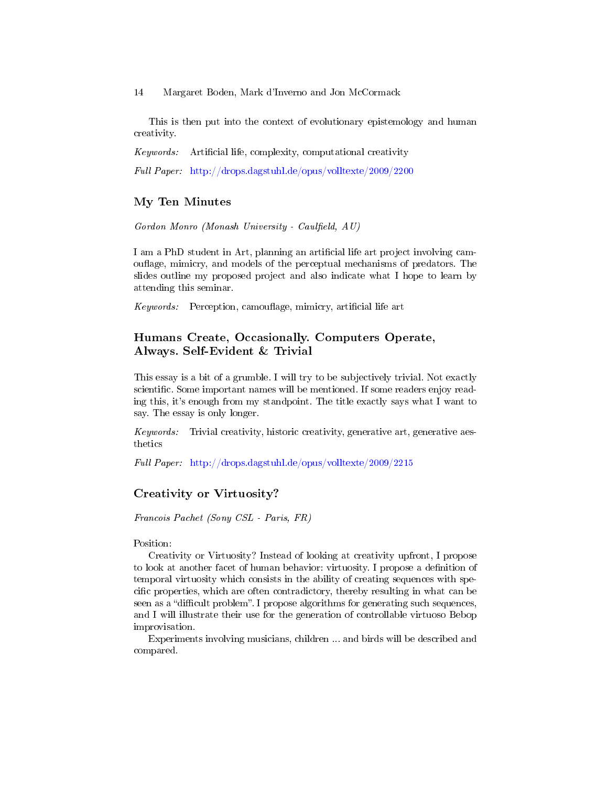This is then put into the context of evolutionary epistemology and human creativity.

Keywords: Artificial life, complexity, computational creativity

Full Paper: <http://drops.dagstuhl.de/opus/volltexte/2009/2200>

#### My Ten Minutes

 $Gordon$  Monro (Monash University - Caulfield, AU)

I am a PhD student in Art, planning an artificial life art project involving camouflage, mimicry, and models of the perceptual mechanisms of predators. The slides outline my proposed project and also indicate what I hope to learn by attending this seminar.

 $Keywords:$  Perception, camouflage, mimicry, artificial life art

### Humans Create, Occasionally. Computers Operate, Always. Self-Evident & Trivial

This essay is a bit of a grumble. I will try to be subjectively trivial. Not exactly scientific. Some important names will be mentioned. If some readers enjoy reading this, it's enough from my standpoint. The title exactly says what I want to say. The essay is only longer.

Keywords: Trivial creativity, historic creativity, generative art, generative aesthetics

Full Paper: <http://drops.dagstuhl.de/opus/volltexte/2009/2215>

### Creativity or Virtuosity?

Francois Pachet (Sony CSL - Paris, FR)

Position:

Creativity or Virtuosity? Instead of looking at creativity upfront, I propose to look at another facet of human behavior: virtuosity. I propose a definition of temporal virtuosity which consists in the ability of creating sequences with specific properties, which are often contradictory, thereby resulting in what can be seen as a "difficult problem". I propose algorithms for generating such sequences, and I will illustrate their use for the generation of controllable virtuoso Bebop improvisation.

Experiments involving musicians, children ... and birds will be described and compared.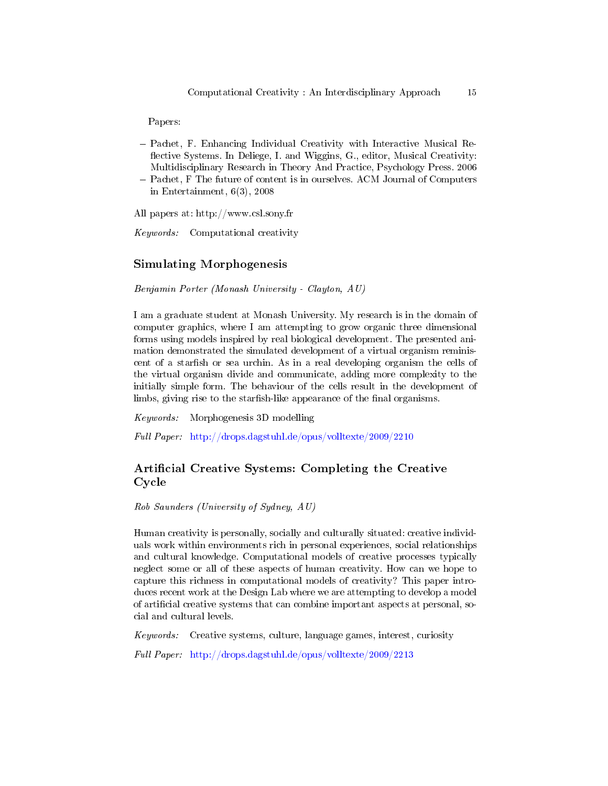Papers:

 Pachet, F. Enhancing Individual Creativity with Interactive Musical Re flective Systems. In Deliege, I. and Wiggins, G., editor, Musical Creativity: Multidisciplinary Research in Theory And Practice, Psychology Press. 2006 - Pachet, F The future of content is in ourselves. ACM Journal of Computers in Entertainment, 6(3), 2008

All papers at: http://www.csl.sony.fr

Keywords: Computational creativity

### Simulating Morphogenesis

Benjamin Porter (Monash University - Clayton, AU)

I am a graduate student at Monash University. My research is in the domain of computer graphics, where I am attempting to grow organic three dimensional forms using models inspired by real biological development. The presented animation demonstrated the simulated development of a virtual organism reminiscent of a starfish or sea urchin. As in a real developing organism the cells of the virtual organism divide and communicate, adding more complexity to the initially simple form. The behaviour of the cells result in the development of limbs, giving rise to the starfish-like appearance of the final organisms.

Keywords: Morphogenesis 3D modelling

Full Paper: <http://drops.dagstuhl.de/opus/volltexte/2009/2210>

# Artificial Creative Systems: Completing the Creative Cycle

Rob Saunders (University of Sydney, AU)

Human creativity is personally, socially and culturally situated: creative individuals work within environments rich in personal experiences, social relationships and cultural knowledge. Computational models of creative processes typically neglect some or all of these aspects of human creativity. How can we hope to capture this richness in computational models of creativity? This paper introduces recent work at the Design Lab where we are attempting to develop a model of articial creative systems that can combine important aspects at personal, social and cultural levels.

Keywords: Creative systems, culture, language games, interest, curiosity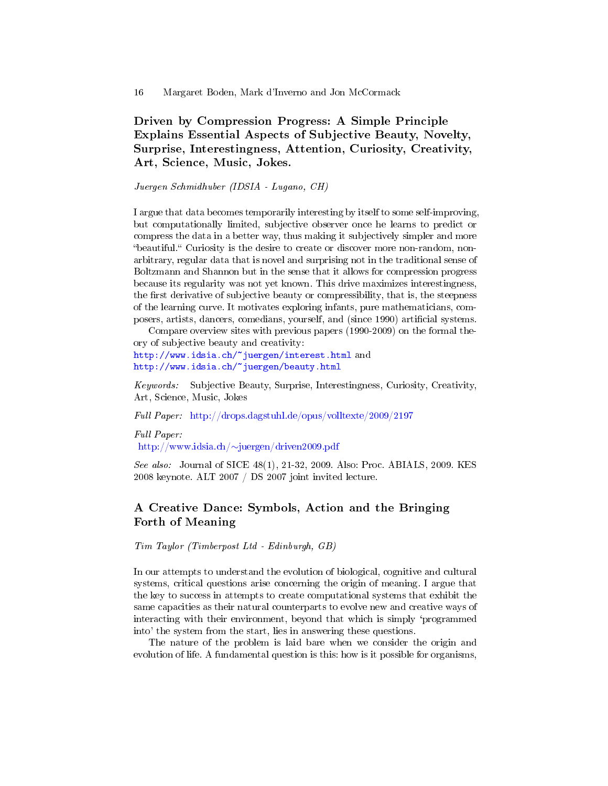Driven by Compression Progress: A Simple Principle Explains Essential Aspects of Subjective Beauty, Novelty, Surprise, Interestingness, Attention, Curiosity, Creativity, Art, Science, Music, Jokes.

Juergen Schmidhuber (IDSIA - Lugano, CH)

I argue that data becomes temporarily interesting by itself to some self-improving, but computationally limited, subjective observer once he learns to predict or compress the data in a better way, thus making it subjectively simpler and more "beautiful." Curiosity is the desire to create or discover more non-random, nonarbitrary, regular data that is novel and surprising not in the traditional sense of Boltzmann and Shannon but in the sense that it allows for compression progress because its regularity was not yet known. This drive maximizes interestingness, the first derivative of subjective beauty or compressibility, that is, the steepness of the learning curve. It motivates exploring infants, pure mathematicians, composers, artists, dancers, comedians, yourself, and (since 1990) articial systems.

Compare overview sites with previous papers (1990-2009) on the formal theory of subjective beauty and creativity:

<http://www.idsia.ch/~juergen/interest.html> and <http://www.idsia.ch/~juergen/beauty.html>

Keywords: Subjective Beauty, Surprise, Interestingness, Curiosity, Creativity, Art, Science, Music, Jokes

Full Paper: <http://drops.dagstuhl.de/opus/volltexte/2009/2197>

Full Paper:

http://www.idsia.ch/∼[juergen/driven2009.pdf](http://www.idsia.ch/~juergen/driven2009.pdf)

See also: Journal of SICE 48(1), 21-32, 2009. Also: Proc. ABIALS, 2009. KES 2008 keynote. ALT 2007 / DS 2007 joint invited lecture.

### A Creative Dance: Symbols, Action and the Bringing Forth of Meaning

Tim Taylor (Timberpost Ltd - Edinburgh, GB)

In our attempts to understand the evolution of biological, cognitive and cultural systems, critical questions arise concerning the origin of meaning. I argue that the key to success in attempts to create computational systems that exhibit the same capacities as their natural counterparts to evolve new and creative ways of interacting with their environment, beyond that which is simply `programmed into' the system from the start, lies in answering these questions.

The nature of the problem is laid bare when we consider the origin and evolution of life. A fundamental question is this: how is it possible for organisms,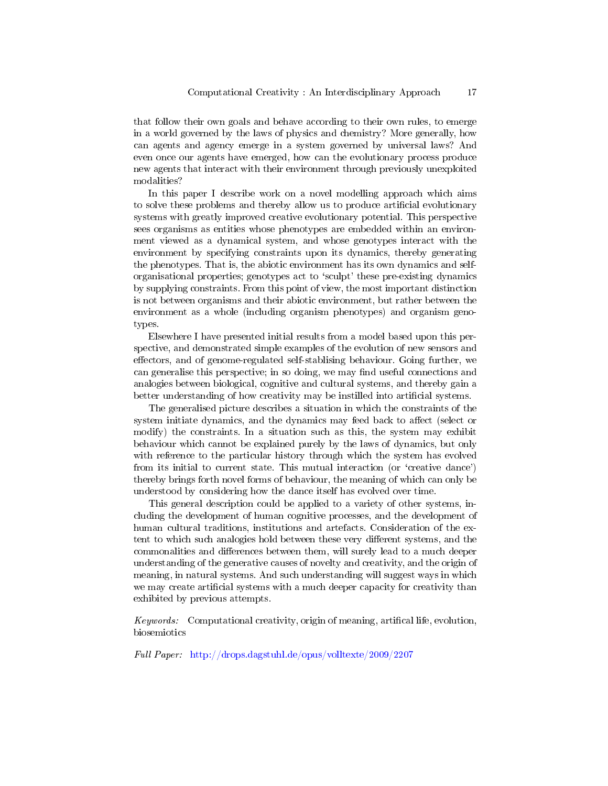that follow their own goals and behave according to their own rules, to emerge in a world governed by the laws of physics and chemistry? More generally, how can agents and agency emerge in a system governed by universal laws? And even once our agents have emerged, how can the evolutionary process produce new agents that interact with their environment through previously unexploited modalities?

In this paper I describe work on a novel modelling approach which aims to solve these problems and thereby allow us to produce artificial evolutionary systems with greatly improved creative evolutionary potential. This perspective sees organisms as entities whose phenotypes are embedded within an environment viewed as a dynamical system, and whose genotypes interact with the environment by specifying constraints upon its dynamics, thereby generating the phenotypes. That is, the abiotic environment has its own dynamics and selforganisational properties; genotypes act to `sculpt' these pre-existing dynamics by supplying constraints. From this point of view, the most important distinction is not between organisms and their abiotic environment, but rather between the environment as a whole (including organism phenotypes) and organism genotypes.

Elsewhere I have presented initial results from a model based upon this perspective, and demonstrated simple examples of the evolution of new sensors and effectors, and of genome-regulated self-stablising behaviour. Going further, we can generalise this perspective; in so doing, we may find useful connections and analogies between biological, cognitive and cultural systems, and thereby gain a better understanding of how creativity may be instilled into articial systems.

The generalised picture describes a situation in which the constraints of the system initiate dynamics, and the dynamics may feed back to affect (select or modify) the constraints. In a situation such as this, the system may exhibit behaviour which cannot be explained purely by the laws of dynamics, but only with reference to the particular history through which the system has evolved from its initial to current state. This mutual interaction (or `creative dance') thereby brings forth novel forms of behaviour, the meaning of which can only be understood by considering how the dance itself has evolved over time.

This general description could be applied to a variety of other systems, including the development of human cognitive processes, and the development of human cultural traditions, institutions and artefacts. Consideration of the extent to which such analogies hold between these very different systems, and the commonalities and differences between them, will surely lead to a much deeper understanding of the generative causes of novelty and creativity, and the origin of meaning, in natural systems. And such understanding will suggest ways in which we may create artificial systems with a much deeper capacity for creativity than exhibited by previous attempts.

Keywords: Computational creativity, origin of meaning, artifical life, evolution, biosemiotics